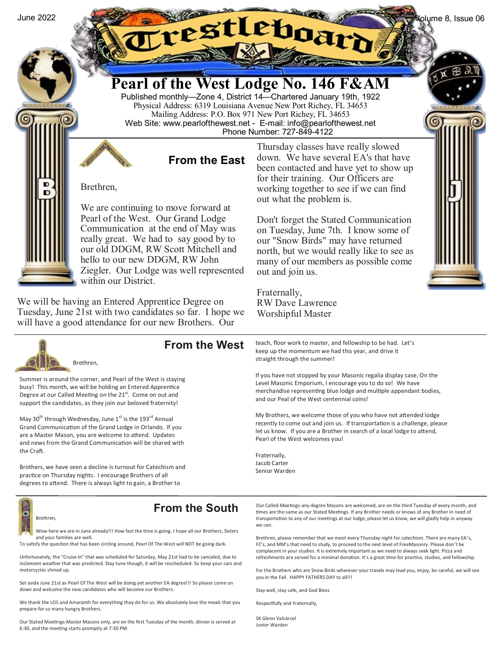

Ziegler. Our Lodge was well represented within our District.

We will be having an Entered Apprentice Degree on Tuesday, June 21st with two candidates so far. I hope we will have a good attendance for our new Brothers. Our

Fraternally, RW Dave Lawrence Worshipful Master

out and join us.



## **From the West**

Summer is around the corner, and Pearl of the West is staying busy! This month, we will be holding an Entered Apprentice Degree at our Called Meeting on the 21<sup>st</sup>. Come on out and support the candidates, as they join our beloved fraternity!

May 30<sup>th</sup> through Wednesday, June 1<sup>st</sup> is the 193<sup>rd</sup> Annual Grand Communication of the Grand Lodge in Orlando. If you are a Master Mason, you are welcome to attend. Updates and news from the Grand Communication will be shared with the Craft.

Brothers, we have seen a decline is turnout for Catechism and practice on Thursday nights. I encourage Brothers of all degrees to attend. There is always light to gain, a Brother to

Brethren,

## **From the South**

Wow-here we are in June already!!! How fast the time is going. I hope all our Brothers, Sisters and your families are well.

To satisfy the question that has been circling around, Pearl Of The West will NOT be going dark.

Unfortunately, the "Cruise In" that was scheduled for Saturday, May 21st had to be canceled, due to inclement weather that was predicted. Stay tune though, it will be rescheduled. So keep your cars and motorcycles shined up.

Set aside June 21st as Pearl Of The West will be doing yet another EA degree!!! So please come on down and welcome the new candidates who will become our Brothers.

We thank the LOS and Amaranth for everything they do for us. We absolutely love the meals that you prepare for so many hungry Brothers.

Our Stated Meetings-Master Masons only, are on the first Tuesday of the month, dinner is served at 6:30, and the meeting starts promptly at 7:30 PM.

teach, floor work to master, and fellowship to be had. Let's keep up the momentum we had this year, and drive it straight through the summer!

If you have not stopped by your Masonic regalia display case, On the Level Masonic Emporium, I encourage you to do so! We have merchandise representing blue lodge and multiple appendant bodies, and our Peal of the West centennial coins!

My Brothers, we welcome those of you who have not attended lodge recently to come out and join us. If transportation is a challenge, please let us know. If you are a Brother in search of a local lodge to attend, Pearl of the West welcomes you!

Fraternally, Jacob Carter Senior Warden

Our Called Meetings-any degree Masons are welcomed, are on the third Tuesday of every month, and times are the same as our Stated Meetings. If any Brother needs or knows of any Brother in need of transportation to any of our meetings at our lodge, please let us know, we will gladly help in anyway we can.

Brethren, please remember that we meet every Thursday night for catechism. There are many EA's, FC's, and MM's that need to study, to proceed to the next level of FreeMasonry. Please don't be complacent in your studies. It is extremely important as we need to always seek light. Pizza and refreshments are served for a minimal donation. It's a great time for practice, studies, and fellowship.

For the Brothers who are Snow Birds-wherever your travels may lead you, enjoy, be careful, we will see you in the Fall. HAPPY FATHERS DAY to all!!!

Stay well, stay safe, and God Bless

Respectfully and Fraternally,

SK Glenn Valcárcel Junior Warden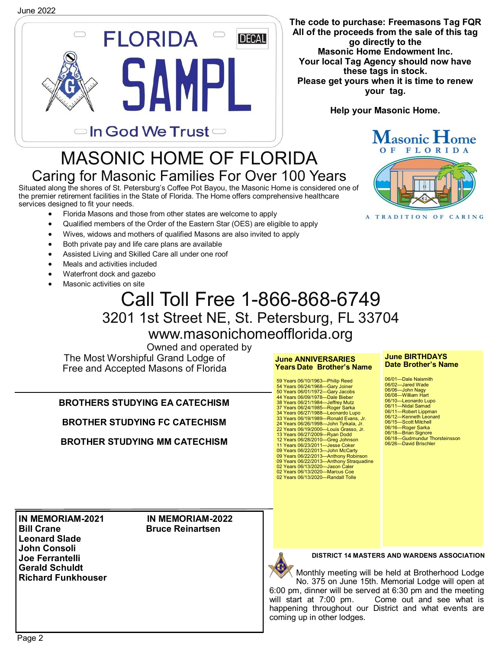

**The code to purchase: Freemasons Tag FQR All of the proceeds from the sale of this tag go directly to the Masonic Home Endowment Inc. Your local Tag Agency should now have these tags in stock. Please get yours when it is time to renew your tag.**

**Help your Masonic Home.**

## MASONIC HOME OF FLORIDA Caring for Masonic Families For Over 100 Years

Situated along the shores of St. Petersburg's Coffee Pot Bayou, the Masonic Home is considered one of the premier retirement facilities in the State of Florida. The Home offers comprehensive healthcare services designed to fit your needs.

- Florida Masons and those from other states are welcome to apply
- Qualified members of the Order of the Eastern Star (OES) are eligible to apply
- Wives, widows and mothers of qualified Masons are also invited to apply
- Both private pay and life care plans are available
- Assisted Living and Skilled Care all under one roof
- Meals and activities included
- Waterfront dock and gazebo
- Masonic activities on site

# Call Toll Free 1-866-868-6749 3201 1st Street NE, St. Petersburg, FL 33704 www.masonichomeofflorida.org

Owned and operated by

The Most Worshipful Grand Lodge of Free and Accepted Masons of Florida

**BROTHERS STUDYING EA CATECHISM**

**BROTHER STUDYING FC CATECHISM** 

**BROTHER STUDYING MM CATECHISM** 

A TRADITION OF CARING

Masonic Home



**DISTRICT 14 MASTERS AND WARDENS ASSOCIATION**

Monthly meeting will be held at Brotherhood Lodge No. 375 on June 15th. Memorial Lodge will open at 6:00 pm, dinner will be served at 6:30 pm and the meeting Come out and see what is happening throughout our District and what events are coming up in other lodges.

**Bill Crane Crane Bruce Reinartsen Leonard Slade John Consoli Joe Ferrantelli Gerald Schuldt Richard Funkhouser**

**IN MEMORIAM-2021 IN MEMORIAM-2022**

## **June ANNIVERSARIES Years Date Brother's Name**

59 Years 06/10/1963—Philip Reed 54 Years 06/24/1968—Gary Joiner 50 Years 06/01/1972—Gary Jacobs 44 Years 06/09/1978—Dale Bieber 38 Years 06/21/1984—Jeffrey Mutz 37 Years 06/24/1985—Roger Sarka 34 Years 06/27/1988—Leonardo Lupo 33 Years 06/19/1989—Ronald Evans, Jr. 24 Years 06/26/1998—John Tyrkala, Jr. 22 Years 06/19/2000—Louis Grasso, Jr. 13 Years 06/27/2009—Ryan Dodd 12 Years 06/28/2010—Greg Johnson<br>11 Years 06/23/2011—Jesse Coker<br>09 Years 06/22/2013—John McCarty<br>09 Years 06/22/2013—Anthony Robinson<br>09 Years 06/22/2013—Anthony Straquadine<br>02 Years 06/13/2020—Randall Tolle<br>02 Years 06/1

#### **June BIRTHDAYS Date Brother's Name**

| 06/01-Dale Naismith           |
|-------------------------------|
| 06/02-Jared Wade              |
| 06/06-John Nagy               |
| 06/08-William Hart            |
| 06/10-Leonardo Lupo           |
| 06/11-Nidal Samad             |
| 06/11—Robert Lippman          |
| 06/12-Kenneth Leonard         |
| 06/15-Scott Mitchell          |
| 06/16—Roger Sarka             |
| 06/18-Brian Signore           |
| 06/18-Gudmundur Thorsteinsson |
| 06/26—David Brischler         |